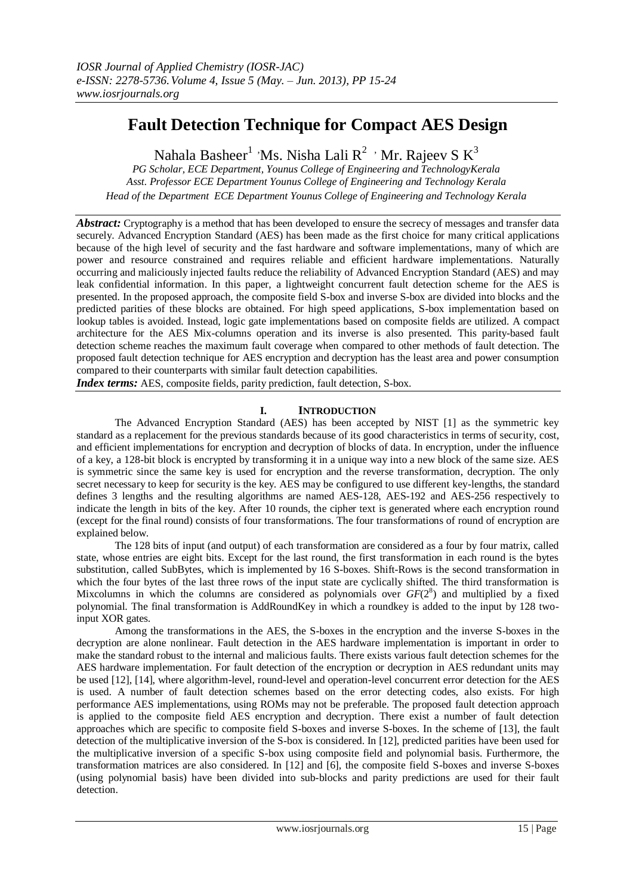# **Fault Detection Technique for Compact AES Design**

Nahala Basheer<sup>1</sup> 'Ms. Nisha Lali  $R^2$  ' Mr. Rajeev S  $K^3$ 

*PG Scholar, ECE Department, Younus College of Engineering and TechnologyKerala Asst. Professor ECE Department Younus College of Engineering and Technology Kerala Head of the Department ECE Department Younus College of Engineering and Technology Kerala*

Abstract: Cryptography is a method that has been developed to ensure the secrecy of messages and transfer data securely. Advanced Encryption Standard (AES) has been made as the first choice for many critical applications because of the high level of security and the fast hardware and software implementations, many of which are power and resource constrained and requires reliable and efficient hardware implementations. Naturally occurring and maliciously injected faults reduce the reliability of Advanced Encryption Standard (AES) and may leak confidential information. In this paper, a lightweight concurrent fault detection scheme for the AES is presented. In the proposed approach, the composite field S-box and inverse S-box are divided into blocks and the predicted parities of these blocks are obtained. For high speed applications, S-box implementation based on lookup tables is avoided. Instead, logic gate implementations based on composite fields are utilized. A compact architecture for the AES Mix-columns operation and its inverse is also presented. This parity-based fault detection scheme reaches the maximum fault coverage when compared to other methods of fault detection. The proposed fault detection technique for AES encryption and decryption has the least area and power consumption compared to their counterparts with similar fault detection capabilities.

*Index terms:* AES, composite fields, parity prediction, fault detection, S-box.

# **I. INTRODUCTION**

 The Advanced Encryption Standard (AES) has been accepted by NIST [1] as the symmetric key standard as a replacement for the previous standards because of its good characteristics in terms of security, cost, and efficient implementations for encryption and decryption of blocks of data. In encryption, under the influence of a key, a 128-bit block is encrypted by transforming it in a unique way into a new block of the same size. AES is symmetric since the same key is used for encryption and the reverse transformation, decryption. The only secret necessary to keep for security is the key. AES may be configured to use different key-lengths, the standard defines 3 lengths and the resulting algorithms are named AES-128, AES-192 and AES-256 respectively to indicate the length in bits of the key. After 10 rounds, the cipher text is generated where each encryption round (except for the final round) consists of four transformations. The four transformations of round of encryption are explained below.

The 128 bits of input (and output) of each transformation are considered as a four by four matrix, called state, whose entries are eight bits. Except for the last round, the first transformation in each round is the bytes substitution, called SubBytes, which is implemented by 16 S-boxes. Shift-Rows is the second transformation in which the four bytes of the last three rows of the input state are cyclically shifted. The third transformation is Mixcolumns in which the columns are considered as polynomials over  $GF(2<sup>8</sup>)$  and multiplied by a fixed polynomial. The final transformation is AddRoundKey in which a roundkey is added to the input by 128 twoinput XOR gates.

Among the transformations in the AES, the S-boxes in the encryption and the inverse S-boxes in the decryption are alone nonlinear. Fault detection in the AES hardware implementation is important in order to make the standard robust to the internal and malicious faults. There exists various fault detection schemes for the AES hardware implementation. For fault detection of the encryption or decryption in AES redundant units may be used [12], [14], where algorithm-level, round-level and operation-level concurrent error detection for the AES is used. A number of fault detection schemes based on the error detecting codes, also exists. For high performance AES implementations, using ROMs may not be preferable. The proposed fault detection approach is applied to the composite field AES encryption and decryption. There exist a number of fault detection approaches which are specific to composite field S-boxes and inverse S-boxes. In the scheme of [13], the fault detection of the multiplicative inversion of the S-box is considered. In [12], predicted parities have been used for the multiplicative inversion of a specific S-box using composite field and polynomial basis. Furthermore, the transformation matrices are also considered. In [12] and [6], the composite field S-boxes and inverse S-boxes (using polynomial basis) have been divided into sub-blocks and parity predictions are used for their fault detection.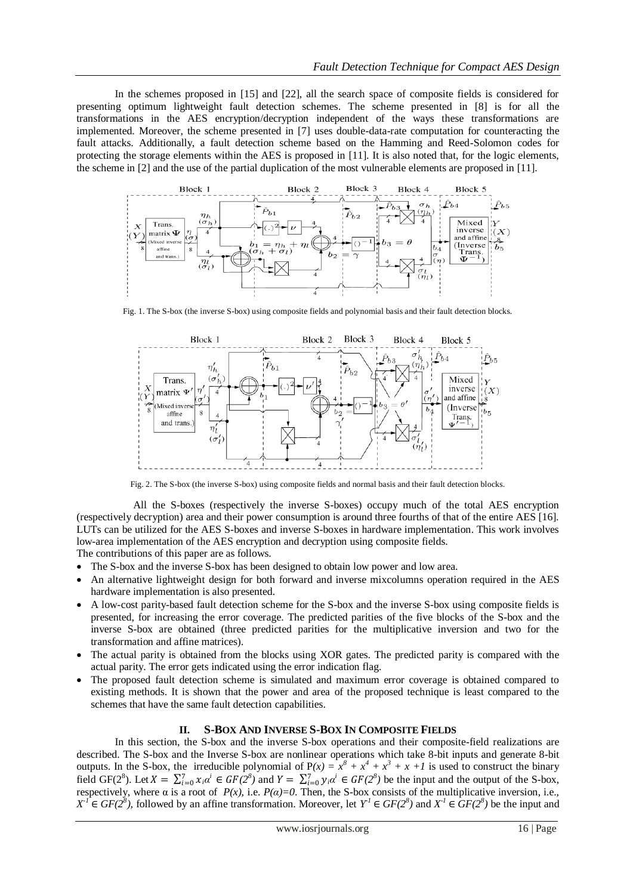In the schemes proposed in [15] and [22], all the search space of composite fields is considered for presenting optimum lightweight fault detection schemes. The scheme presented in [8] is for all the transformations in the AES encryption/decryption independent of the ways these transformations are implemented. Moreover, the scheme presented in [7] uses double-data-rate computation for counteracting the fault attacks. Additionally, a fault detection scheme based on the Hamming and Reed-Solomon codes for protecting the storage elements within the AES is proposed in [11]. It is also noted that, for the logic elements, the scheme in [2] and the use of the partial duplication of the most vulnerable elements are proposed in [11].



Fig. 1. The S-box (the inverse S-box) using composite fields and polynomial basis and their fault detection blocks.



Fig. 2. The S-box (the inverse S-box) using composite fields and normal basis and their fault detection blocks.

 All the S-boxes (respectively the inverse S-boxes) occupy much of the total AES encryption (respectively decryption) area and their power consumption is around three fourths of that of the entire AES [16]. LUTs can be utilized for the AES S-boxes and inverse S-boxes in hardware implementation. This work involves low-area implementation of the AES encryption and decryption using composite fields.

The contributions of this paper are as follows.

- The S-box and the inverse S-box has been designed to obtain low power and low area.
- An alternative lightweight design for both forward and inverse mixcolumns operation required in the AES hardware implementation is also presented.
- A low-cost parity-based fault detection scheme for the S-box and the inverse S-box using composite fields is presented, for increasing the error coverage. The predicted parities of the five blocks of the S-box and the inverse S-box are obtained (three predicted parities for the multiplicative inversion and two for the transformation and affine matrices).
- The actual parity is obtained from the blocks using XOR gates. The predicted parity is compared with the actual parity. The error gets indicated using the error indication flag.
- The proposed fault detection scheme is simulated and maximum error coverage is obtained compared to existing methods. It is shown that the power and area of the proposed technique is least compared to the schemes that have the same fault detection capabilities.

## **II. S-BOX AND INVERSE S-BOX IN COMPOSITE FIELDS**

In this section, the S-box and the inverse S-box operations and their composite-field realizations are described. The S-box and the Inverse S-box are nonlinear operations which take 8-bit inputs and generate 8-bit outputs. In the S-box, the irreducible polynomial of  $P(x) = x^8 + x^4 + x^3 + x +1$  is used to construct the binary field GF(2<sup>8</sup>). Let  $X = \sum_{i=0}^{7} x_i \alpha^i \in GF(2^8)$  and  $Y = \sum_{i=0}^{7} y_i \alpha^i \in GF(2^8)$  be the input and the output of the S-box, respectively, where  $\alpha$  is a root of  $P(x)$ , i.e.  $P(\alpha)=0$ . Then, the S-box consists of the multiplicative inversion, i.e., *X*<sup>*I*</sup> ∈ *GF(2<sup>8</sup>*), followed by an affine transformation. Moreover, let *Y*<sup>*I*</sup> ∈ *GF(2<sup>8</sup>)* and *X*<sup>*I*</sup> ∈ *GF(2<sup>8</sup>)* be the input and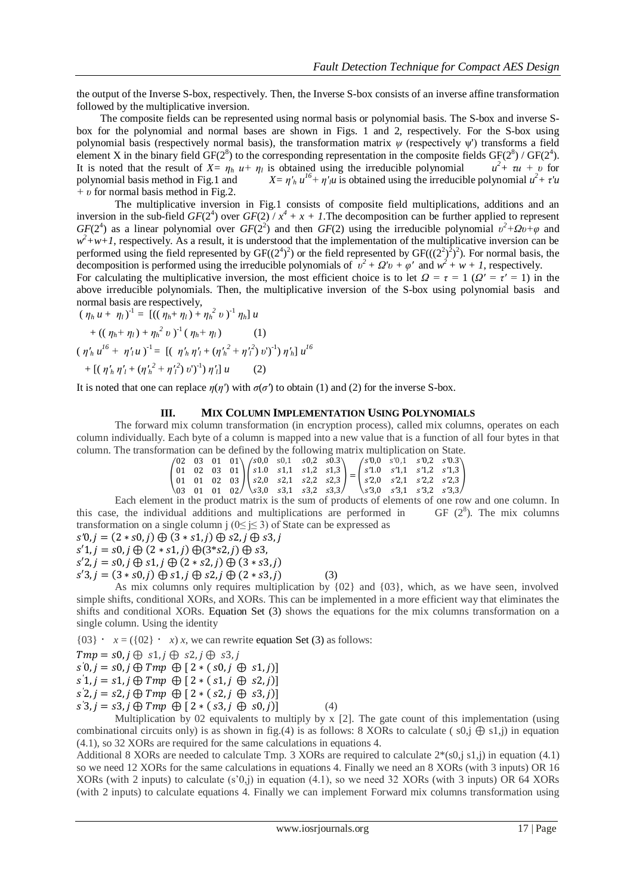the output of the Inverse S-box, respectively. Then, the Inverse S-box consists of an inverse affine transformation followed by the multiplicative inversion.

 The composite fields can be represented using normal basis or polynomial basis. The S-box and inverse Sbox for the polynomial and normal bases are shown in Figs. 1 and 2, respectively. For the S-box using polynomial basis (respectively normal basis), the transformation matrix *ψ* (respectively ψ') transforms a field element X in the binary field  $GF(2^8)$  to the corresponding representation in the composite fields  $GF(2^8) / GF(2^4)$ . It is noted that the result of  $X = \eta_h u + \eta_l$  is obtained using the irreducible polynomial *u <sup>2</sup>+ τu + υ* for polynomial basis method in Fig.1 and  $u^{16} + \eta'$ <sup>*u*</sup> is obtained using the irreducible polynomial  $u^2 + \tau' u$ *+ υ* for normal basis method in Fig.2.

The multiplicative inversion in Fig.1 consists of composite field multiplications, additions and an inversion in the sub-field  $GF(2^4)$  over  $GF(2) / x^4 + x + 1$ . The decomposition can be further applied to represent *GF*(2<sup>4</sup>) as a linear polynomial over *GF*(2<sup>2</sup>) and then *GF*(2) using the irreducible polynomial  $v^2 + Qv + \varphi$  and  $w^2$ +w+1, respectively. As a result, it is understood that the implementation of the multiplicative inversion can be performed using the field represented by  $GF((2^4)^2)$  or the field represented by  $GF(((2^2)^2)^2)$ . For normal basis, the decomposition is performed using the irreducible polynomials of  $v^2 + Q'v + \varphi'$  and  $w^2 + w + I$ , respectively. For calculating the multiplicative inversion, the most efficient choice is to let  $Q = \tau = 1$  ( $Q' = \tau' = 1$ ) in the

above irreducible polynomials. Then, the multiplicative inversion of the S-box using polynomial basis and normal basis are respectively,

$$
(\eta_h u + \eta_l)^1 = [((\eta_h + \eta_l) + \eta_h^2 v)^1 \eta_h] u
$$
  
+ 
$$
((\eta_h + \eta_l) + \eta_h^2 v)^1 (\eta_h + \eta_l) \qquad (1)
$$
  

$$
(\eta'_h u^{l6} + \eta'_l u)^1 = [(\eta'_h \eta'_l + (\eta'_h^2 + \eta'_l^2) v')^1] \eta'_h] u^{l6}
$$
  
+ 
$$
[(\eta'_h \eta'_l + (\eta'_h^2 + \eta'_l^2) v')^1] \eta'_l] u \qquad (2)
$$

It is noted that one can replace  $\eta(\eta')$  with  $\sigma(\sigma')$  to obtain (1) and (2) for the inverse S-box.

# **III. MIX COLUMN IMPLEMENTATION USING POLYNOMIALS**

The forward mix column transformation (in encryption process), called mix columns, operates on each column individually. Each byte of a column is mapped into a new value that is a function of all four bytes in that column. The transformation can be defined by the following matrix multiplication on State.

|  |  | $\begin{pmatrix} 02 & 03 & 01 & 01 \\ 0 & 0 & 01 \end{pmatrix}$ $\begin{pmatrix} s0,0 & s0,1 & s0,2 & s0.3 \\ s0,0 & 0 & 01 \end{pmatrix}$ |  |  | $\sqrt{s'0,0}$ s'0,1 s'0,2 s'0.3          |  |                                                                                                                                                                                                                                                            |
|--|--|--------------------------------------------------------------------------------------------------------------------------------------------|--|--|-------------------------------------------|--|------------------------------------------------------------------------------------------------------------------------------------------------------------------------------------------------------------------------------------------------------------|
|  |  |                                                                                                                                            |  |  |                                           |  |                                                                                                                                                                                                                                                            |
|  |  |                                                                                                                                            |  |  |                                           |  | $\begin{pmatrix} 01 & 02 & 03 & 01 \\ 01 & 01 & 02 & 03 \end{pmatrix} \begin{pmatrix} s1.0 & s1.1 & s1.2 & s1.3 \\ s2.0 & s2.1 & s2.2 & s2.3 \end{pmatrix} = \begin{pmatrix} s'1.0 & s'1.1 & s'1.2 & s'1.3 \\ s'2.0 & s'2.1 & s'2.2 & s'2.3 \end{pmatrix}$ |
|  |  | $\begin{bmatrix} 03 & 01 & 01 & 02 \end{bmatrix}$ $\begin{bmatrix} s3,0 & s3,1 & s3,2 & s3,3 \end{bmatrix}$                                |  |  | $\binom{5}{3.0}$ $s'3.1$ $s'3.2$ $s'3.3/$ |  |                                                                                                                                                                                                                                                            |

Each element in the product matrix is the sum of products of elements of one row and one column. In this case, the individual additions and multiplications are performed in GF  $(2^8)$ . The mix columns transformation on a single column j ( $0 \le i \le 3$ ) of State can be expressed as

$$
s'0, j = (2 * s0, j) \oplus (3 * s1, j) \oplus s2, j \oplus s3, j
$$

 $s'1, j = s0, j \bigoplus (2 * s1, j) \bigoplus (3 * s2, j) \bigoplus s3,$ 

$$
s'2, j = s0, j \oplus s1, j \oplus (2*s2, j) \oplus (3*s3, j)
$$

 $s'3, j = (3 * s0, j) \oplus s1, j \oplus s2, j \oplus (2 * s3, j)$  (3)

As mix columns only requires multiplication by  ${02}$  and  ${03}$ , which, as we have seen, involved simple shifts, conditional XORs, and XORs. This can be implemented in a more efficient way that eliminates the shifts and conditional XORs. Equation Set (3) shows the equations for the mix columns transformation on a single column. Using the identity

 ${03} \cdot x = ({02} \cdot x) x$ , we can rewrite equation Set (3) as follows:

$$
Tmp = s0, j \oplus s1, j \oplus s2, j \oplus s3, j
$$

 $\hat{s}(0, j = s0, j \oplus Tmp \oplus [2 * (s0, j \oplus s1, j)]$ 

$$
s'1, j = s1, j \oplus Tmp \oplus [2 * (s1, j \oplus s2, j)]
$$

$$
s'2, j = s2, j \oplus Tmp \oplus [2 * (s2, j \oplus s3, j)]
$$

 $s'3, j = s3, j \oplus Tmp \oplus [2 * (s3, j \oplus s0, j)]$  (4)

Multiplication by 02 equivalents to multiply by  $x$  [2]. The gate count of this implementation (using combinational circuits only) is as shown in fig.(4) is as follows: 8 XORs to calculate ( $\sin(\theta)$  s1,j) in equation (4.1), so 32 XORs are required for the same calculations in equations 4.

Additional 8 XORs are needed to calculate Tmp. 3 XORs are required to calculate  $2*(s0,i s1,i)$  in equation (4.1) so we need 12 XORs for the same calculations in equations 4. Finally we need an 8 XORs (with 3 inputs) OR 16 XORs (with 2 inputs) to calculate (s'0,j) in equation (4.1), so we need 32 XORs (with 3 inputs) OR 64 XORs (with 2 inputs) to calculate equations 4. Finally we can implement Forward mix columns transformation using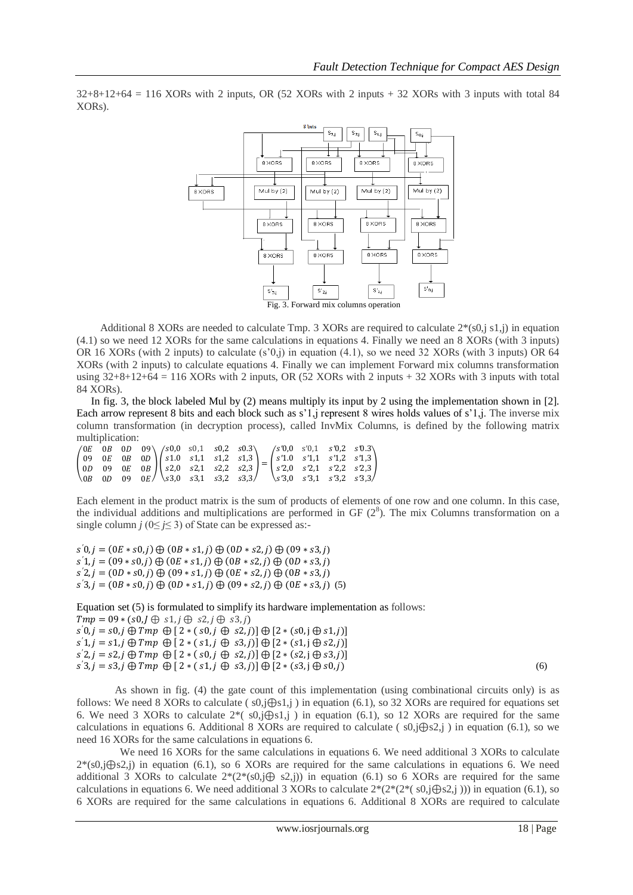$32+8+12+64 = 116$  XORs with 2 inputs, OR (52 XORs with 2 inputs + 32 XORs with 3 inputs with total 84 XORs).



Additional 8 XORs are needed to calculate Tmp. 3 XORs are required to calculate  $2*(s0, j s1, j)$  in equation (4.1) so we need 12 XORs for the same calculations in equations 4. Finally we need an 8 XORs (with 3 inputs) OR 16 XORs (with 2 inputs) to calculate (s'0,j) in equation (4.1), so we need 32 XORs (with 3 inputs) OR 64 XORs (with 2 inputs) to calculate equations 4. Finally we can implement Forward mix columns transformation using  $32+8+12+64 = 116$  XORs with 2 inputs, OR (52 XORs with 2 inputs + 32 XORs with 3 inputs with total 84 XORs).

 In fig. 3, the block labeled Mul by (2) means multiply its input by 2 using the implementation shown in [2]. Each arrow represent 8 bits and each block such as s'1,j represent 8 wires holds values of s'1,j. The inverse mix column transformation (in decryption process), called InvMix Columns, is defined by the following matrix multiplication:

|  |  |  |  |  |  | $\begin{pmatrix} 0E & 0B & 0D & 09 \\ 09 & 0E & 0B & 0D \\ 0D & 09 & 0E & 0B \\ 0B & 0D & 09 & 0E \end{pmatrix} \begin{pmatrix} s0,0 & s0,1 & s0,2 & s0.3 \\ s1,0 & s1,1 & s1,2 & s1,3 \\ s2,0 & s2,1 & s2,2 & s2,3 \\ s3,0 & s3,1 & s3,2 & s3,3 \end{pmatrix} = \begin{pmatrix} s'0,0 & s'0,1 & s'0,2 & s'0.3 \\ s'1,0 & s'1,1 & s'1,2 & s'1,3$ |
|--|--|--|--|--|--|--------------------------------------------------------------------------------------------------------------------------------------------------------------------------------------------------------------------------------------------------------------------------------------------------------------------------------------------------|

Each element in the product matrix is the sum of products of elements of one row and one column. In this case, the individual additions and multiplications are performed in GF  $(2^8)$ . The mix Columns transformation on a single column *j* ( $0 \le j \le 3$ ) of State can be expressed as:-

 $\hat{s}(0, j = (0E * s0, j) \oplus (0B * s1, j) \oplus (0D * s2, j) \oplus (09 * s3, j)$  $\hat{s}(1, j = (09 * s0, j) \oplus (0E * s1, j) \oplus (0B * s2, j) \oplus (0D * s3, j)$  $\hat{s}(2, j = (0D * s0, j) \oplus (09 * s1, j) \oplus (0E * s2, j) \oplus (0B * s3, j)$  $\overline{s}$ '3,  $j = (0B * s0, j) \oplus (0D * s1, j) \oplus (09 * s2, j) \oplus (0E * s3, j)$  (5)

Equation set (5) is formulated to simplify its hardware implementation as follows:  $Tmp = 09 * (s0, J \oplus s1, j \oplus s2, j \oplus s3, j)$  $s'0, j = s0, j \bigoplus Tmp \bigoplus [2 * (s0, j \bigoplus s2, j)] \bigoplus [2 * (s0, j \bigoplus s1, j)]$  $s'1, j = s1, j \oplus Tmp \oplus [2 * (s1, j \oplus s3, j)] \oplus [2 * (s1, j \oplus s2, j)]$  $s'2, j = s2, j \oplus Tmp \oplus [2 * (s0, j \oplus s2, j)] \oplus [2 * (s2, j \oplus s3, j)]$  $s'3, j = s3, j \oplus Tmp \oplus [2 * (s1, j \oplus s3, j)] \oplus [2 * (s3, j \oplus s0, j)]$  (6)

As shown in fig. (4) the gate count of this implementation (using combinational circuits only) is as follows: We need 8 XORs to calculate ( $s0, j\oplus s1, j$ ) in equation (6.1), so 32 XORs are required for equations set 6. We need 3 XORs to calculate 2\*( s0,j⊕s1,j ) in equation (6.1), so 12 XORs are required for the same calculations in equations 6. Additional 8 XORs are required to calculate (  $s0$ ,j $\bigoplus s2$ ,j ) in equation (6.1), so we need 16 XORs for the same calculations in equations 6.

We need 16 XORs for the same calculations in equations 6. We need additional 3 XORs to calculate 2\*(s0,j⊕s2,j) in equation (6.1), so 6 XORs are required for the same calculations in equations 6. We need additional 3 XORs to calculate  $2*(2*(s0, j\oplus s2, j))$  in equation (6.1) so 6 XORs are required for the same calculations in equations 6. We need additional 3 XORs to calculate  $2*(2*(2*(s0,j\oplus s2,j)))$  in equation (6.1), so 6 XORs are required for the same calculations in equations 6. Additional 8 XORs are required to calculate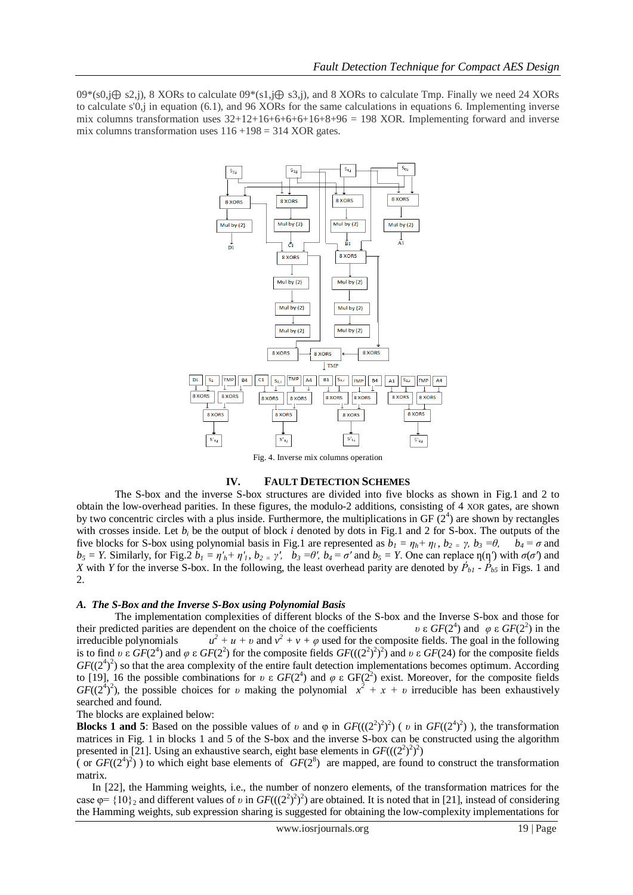09\*(s0,j⊕ s2,j), 8 XORs to calculate 09\*(s1,j⊕ s3,j), and 8 XORs to calculate Tmp. Finally we need 24 XORs to calculate s' $0$ , in equation (6.1), and 96 XORs for the same calculations in equations 6. Implementing inverse mix columns transformation uses  $32+12+16+6+6+6+16+8+96 = 198$  XOR. Implementing forward and inverse mix columns transformation uses  $116 + 198 = 314$  XOR gates.



Fig. 4. Inverse mix columns operation

## **IV. FAULT DETECTION SCHEMES**

 The S-box and the inverse S-box structures are divided into five blocks as shown in Fig.1 and 2 to obtain the low-overhead parities. In these figures, the modulo-2 additions, consisting of 4 XOR gates, are shown by two concentric circles with a plus inside. Furthermore, the multiplications in GF  $(2^4)$  are shown by rectangles with crosses inside. Let  $b_i$  be the output of block *i* denoted by dots in Fig.1 and 2 for S-box. The outputs of the five blocks for S-box using polynomial basis in Fig.1 are represented as  $b_1 = \eta_h + \eta_l$ ,  $b_2 = \gamma$ ,  $b_3 = \theta$ ,  $b_4 = \sigma$  and  $b_5 = Y$ . Similarly, for Fig. 2  $b_1 = \eta h + \eta l$ ,  $b_2 = \gamma l$ ,  $b_3 = \theta l$ ,  $b_4 = \sigma l$  and  $b_5 = Y$ . One can replace  $\eta(\eta)$  with  $\sigma(\sigma)$  and *X* with *Y* for the inverse S-box. In the following, the least overhead parity are denoted by  $\dot{P}_{b1}$  -  $\dot{P}_{b5}$  in Figs. 1 and 2.

## *A. The S-Box and the Inverse S-Box using Polynomial Basis*

The implementation complexities of different blocks of the S-box and the Inverse S-box and those for their predicted parities are dependent on the choice of the coefficients ) and  $\varphi$  ε  $GF(2^2)$  in the irreducible polynomials *u*  $2^2 + u + v$  and  $v^2 + v + \varphi$  used for the composite fields. The goal in the following is to find *υ* ε  $GF(2^4)$  and  $\varphi$  ε  $GF(2^2)$  for the composite fields  $GF(((2^2)^2)^2)$  and *υ* ε  $GF(24)$  for the composite fields  $GF((2<sup>4</sup>)<sup>2</sup>)$  so that the area complexity of the entire fault detection implementations becomes optimum. According to [19], 16 the possible combinations for *υ* ε  $GF(2^4)$  and  $\varphi$  ε GF( $2^2$ ) exist. Moreover, for the composite fields  $GF((2<sup>4</sup>)<sup>2</sup>)$ , the possible choices for *v* making the polynomial  $x<sup>2</sup> + x + v$  irreducible has been exhaustively searched and found.

The blocks are explained below:

**Blocks 1 and 5:** Based on the possible values of *v* and  $\varphi$  in  $GF(((2^2)^2)^2)$  (*v* in  $GF((2^4)^2)$ ), the transformation matrices in Fig. 1 in blocks 1 and 5 of the S-box and the inverse S-box can be constructed using the algorithm presented in [21]. Using an exhaustive search, eight base elements in  $GF(((2^2)^2)^2)$ 

( or  $GF((2^4)^2)$ ) to which eight base elements of  $GF(2^8)$  are mapped, are found to construct the transformation matrix.

 In [22], the Hamming weights, i.e., the number of nonzero elements, of the transformation matrices for the case  $\varphi$ = {10}<sub>2</sub> and different values of *v* in  $GF(((2^2)^2)^2)$  are obtained. It is noted that in [21], instead of considering the Hamming weights, sub expression sharing is suggested for obtaining the low-complexity implementations for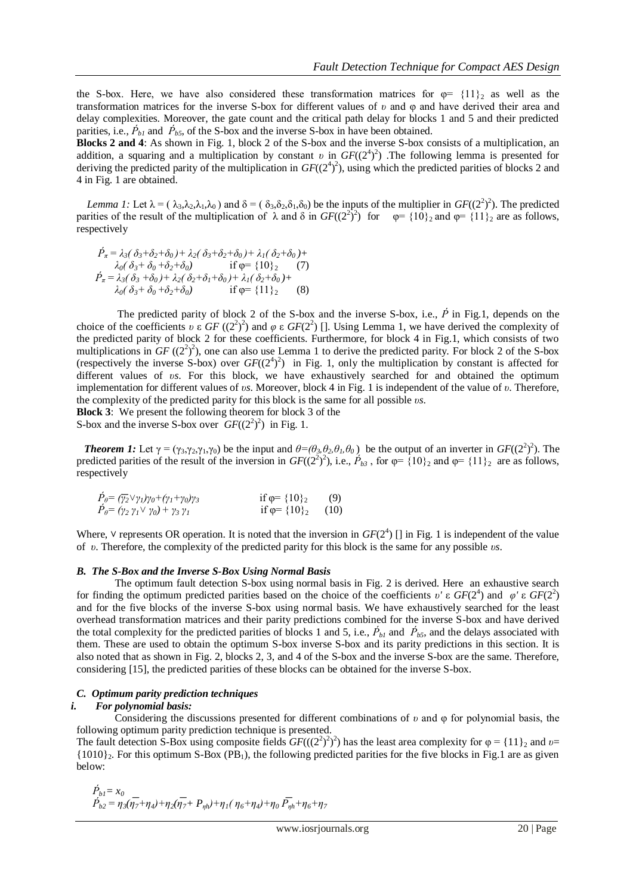the S-box. Here, we have also considered these transformation matrices for  $\varphi = \{11\}_2$  as well as the transformation matrices for the inverse S-box for different values of *υ* and φ and have derived their area and delay complexities. Moreover, the gate count and the critical path delay for blocks 1 and 5 and their predicted parities, i.e.,  $\dot{P}_{b1}$  and  $\dot{P}_{b5}$ , of the S-box and the inverse S-box in have been obtained.

**Blocks 2 and 4**: As shown in Fig. 1, block 2 of the S-box and the inverse S-box consists of a multiplication, an addition, a squaring and a multiplication by constant *v* in  $GF((2^4)^2)$ . The following lemma is presented for deriving the predicted parity of the multiplication in  $GF((2^4)^2)$ , using which the predicted parities of blocks 2 and 4 in Fig. 1 are obtained.

*Lemma 1:* Let  $\lambda = (\lambda_3, \lambda_2, \lambda_1, \lambda_0)$  and  $\delta = (\delta_3, \delta_2, \delta_1, \delta_0)$  be the inputs of the multiplier in  $GF((2^2)^2)$ . The predicted parities of the result of the multiplication of  $\lambda$  and  $\delta$  in  $GF((2^2)^2)$  for  $\varphi = \{10\}_2$  and  $\varphi = \{11\}_2$  are as follows, respectively

$$
\dot{P}_{\pi} = \lambda_3(\delta_3 + \delta_2 + \delta_0) + \lambda_2(\delta_3 + \delta_2 + \delta_0) + \lambda_1(\delta_2 + \delta_0) + \lambda_0(\delta_3 + \delta_0 + \delta_2 + \delta_0)
$$
\nif  $\varphi = \{10\}_2$  (7)  
\n
$$
\dot{P}_{\pi} = \lambda_3(\delta_3 + \delta_0) + \lambda_2(\delta_2 + \delta_1 + \delta_0) + \lambda_1(\delta_2 + \delta_0) + \lambda_0(\delta_3 + \delta_0 + \delta_2 + \delta_0)
$$
\nif  $\varphi = \{11\}_2$  (8)

The predicted parity of block 2 of the S-box and the inverse S-box, i.e.,  $\vec{P}$  in Fig.1, depends on the choice of the coefficients *υ* ε  $GF((2^2)^2)$  and  $\varphi$  ε  $GF(2^2)$  []. Using Lemma 1, we have derived the complexity of the predicted parity of block 2 for these coefficients. Furthermore, for block 4 in Fig.1, which consists of two multiplications in  $GF((2^2)^2)$ , one can also use Lemma 1 to derive the predicted parity. For block 2 of the S-box (respectively the inverse S-box) over  $GF((2^4)^2)$  in Fig. 1, only the multiplication by constant is affected for different values of *υs*. For this block, we have exhaustively searched for and obtained the optimum implementation for different values of *υs*. Moreover, block 4 in Fig. 1 is independent of the value of *υ*. Therefore, the complexity of the predicted parity for this block is the same for all possible *υs*.

**Block 3**: We present the following theorem for block 3 of the

S-box and the inverse S-box over  $GF((2^2)^2)$  in Fig. 1.

*<i>Theorem 1:* Let  $\gamma = (\gamma_3, \gamma_2, \gamma_1, \gamma_0)$  be the input and  $\theta = (\theta_3, \theta_2, \theta_1, \theta_0)$  be the output of an inverter in  $GF((2^2)^2)$ . The predicted parities of the result of the inversion in  $GF((2^2)^2)$ , i.e.,  $\acute{P}_{b3}$ , for  $\varphi = \{10\}_2$  and  $\varphi = \{11\}_2$  are as follows, respectively

| $P_{\theta} = (\overline{\gamma_2} \vee \gamma_1) \gamma_0 + (\gamma_1 + \gamma_0) \gamma_3$ | if $\varphi = \{10\}_2$      | (9) |
|----------------------------------------------------------------------------------------------|------------------------------|-----|
| $P_{\theta} = (\gamma_2 \gamma_1 \vee \gamma_0) + \gamma_3 \gamma_1$                         | if $\varphi = \{10\}_2$ (10) |     |

Where,  $\vee$  represents OR operation. It is noted that the inversion in  $GF(2<sup>4</sup>)$  [] in Fig. 1 is independent of the value of *υ*. Therefore, the complexity of the predicted parity for this block is the same for any possible *υs*.

#### *B. The S-Box and the Inverse S-Box Using Normal Basis*

The optimum fault detection S-box using normal basis in Fig. 2 is derived. Here an exhaustive search for finding the optimum predicted parities based on the choice of the coefficients *υ'* ε  $GF(2^4)$  and  $\varphi'$  ε  $GF(2^2)$ and for the five blocks of the inverse S-box using normal basis. We have exhaustively searched for the least overhead transformation matrices and their parity predictions combined for the inverse S-box and have derived the total complexity for the predicted parities of blocks 1 and 5, i.e.,  $\dot{P}_{b1}$  and  $\dot{P}_{b5}$ , and the delays associated with them. These are used to obtain the optimum S-box inverse S-box and its parity predictions in this section. It is also noted that as shown in Fig. 2, blocks 2, 3, and 4 of the S-box and the inverse S-box are the same. Therefore, considering [15], the predicted parities of these blocks can be obtained for the inverse S-box.

## *C. Optimum parity prediction techniques*

## *i. For polynomial basis:*

Considering the discussions presented for different combinations of *υ* and φ for polynomial basis, the following optimum parity prediction technique is presented.

The fault detection S-Box using composite fields  $GF(((2^2)^2)^2)$  has the least area complexity for  $\varphi = \{11\}_2$  and  $\nu=$  $\{1010\}_2$ . For this optimum S-Box (PB<sub>1</sub>), the following predicted parities for the five blocks in Fig.1 are as given below:

$$
\hat{P}_{b1} = x_0
$$
\n
$$
\hat{P}_{b2} = \eta_3(\eta_7 + \eta_4) + \eta_2(\eta_7 + P_{\eta h}) + \eta_1(\eta_6 + \eta_4) + \eta_0 \,\overline{P_{\eta h}} + \eta_6 + \eta_7
$$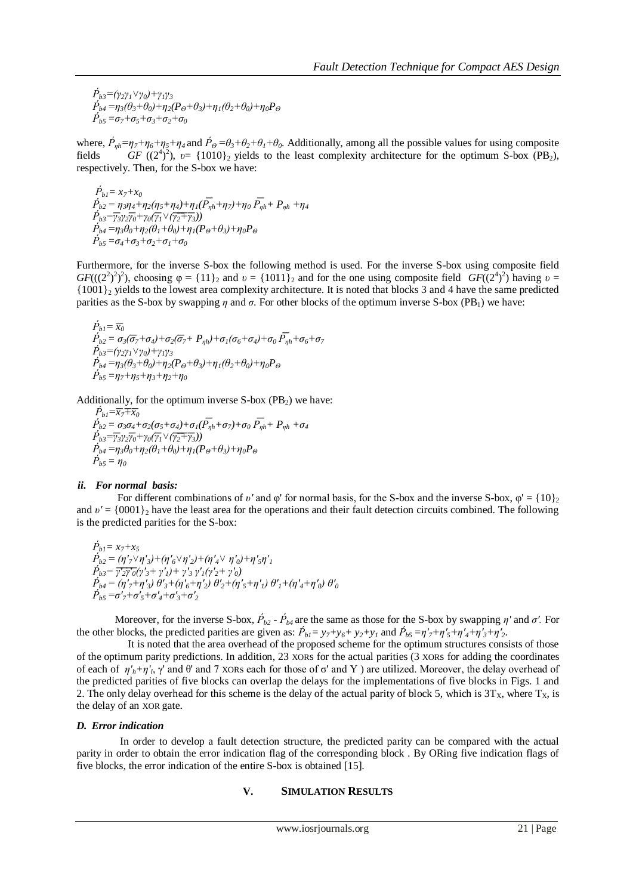$\dot{P}_{b3} = (\gamma_2 \gamma_1 \vee \gamma_0) + \gamma_1 \gamma_3$  $\dot{P}_{p4} = \eta_3(\theta_3 + \theta_0) + \eta_2(P_{\Theta} + \theta_3) + \eta_1(\theta_2 + \theta_0) + \eta_0 P_{\Theta}$  $\dot{P}_{b5} = \sigma_7 + \sigma_5 + \sigma_3 + \sigma_2 + \sigma_0$ 

where,  $\dot{P}_{nh} = \eta_7 + \eta_6 + \eta_5 + \eta_4$  and  $\dot{P}_{\theta} = \theta_3 + \theta_2 + \theta_1 + \theta_0$ . Additionally, among all the possible values for using composite fields *GF*  $((2^4)^2)$ ,  $v = \{1010\}_2$  yields to the least complexity architecture for the optimum S-box (PB<sub>2</sub>), respectively. Then, for the S-box we have:

 $\vec{P}_{bl} = x_7 + x_0$  $\acute{P}_{b2} = \eta_3 \eta_4 + \eta_2 (\eta_5 + \eta_4) + \eta_1 (\bar{P}_{\eta h} + \eta_7) + \eta_0 \, \bar{P}_{\eta h} + P_{\eta h} + \eta_4$  $\hat{P}_{b3} = \overline{\gamma_3} \gamma_2 \overline{\gamma_0} + \gamma_0 (\overline{\gamma_1} \vee (\overline{\gamma_2 + \gamma_3}))$  $\dot{P}_{b4} = \eta_3 \theta_0 + \eta_2 (\theta_1 + \theta_0) + \eta_1 (P_{\Theta} + \theta_3) + \eta_0 P_{\Theta}$  $\dot{P}_{b5} = \sigma_4 + \sigma_3 + \sigma_2 + \sigma_1 + \sigma_0$ 

Furthermore, for the inverse S-box the following method is used. For the inverse S-box using composite field *GF*(((2<sup>2</sup>)<sup>2</sup>), choosing  $\varphi = \{11\}_2$  and  $\nu = \{1011\}_2$  and for the one using composite field *GF*((2<sup>4</sup>)<sup>2</sup>) having  $\nu =$ {1001}<sup>2</sup> yields to the lowest area complexity architecture. It is noted that blocks 3 and 4 have the same predicted parities as the S-box by swapping  $\eta$  and  $\sigma$ . For other blocks of the optimum inverse S-box (PB<sub>1</sub>) we have:

$$
\begin{array}{l} \dot{P}_{b1} = \overline{x_0} \\ \dot{P}_{b2} = \sigma_3(\overline{\sigma}_7 + \sigma_4) + \sigma_2(\overline{\sigma}_7 + P_{\eta h}) + \sigma_1(\sigma_6 + \sigma_4) + \sigma_0 \, \overline{P_{\eta h}} + \sigma_6 + \sigma_7 \\ \dot{P}_{b3} = (\gamma_2 \gamma_1 \vee \gamma_0) + \gamma_1 \gamma_3 \\ \dot{P}_{b4} = \eta_3(\theta_3 + \theta_0) + \eta_2 (P_{\Theta} + \theta_3) + \eta_1(\theta_2 + \theta_0) + \eta_0 P_{\Theta} \\ \dot{P}_{b5} = \eta_7 + \eta_5 + \eta_3 + \eta_2 + \eta_0 \end{array}
$$

Additionally, for the optimum inverse  $S-box (PB<sub>2</sub>)$  we have:

$$
\tilde{P}_{b1} = \overline{x_7} + \overline{x_0}
$$
\n
$$
\tilde{P}_{b2} = \sigma_3 \sigma_4 + \sigma_2 (\sigma_5 + \sigma_4) + \sigma_1 (\overline{P}_{\eta h} + \sigma_7) + \sigma_0 \overline{P}_{\eta h} + P_{\eta h} + \sigma_4
$$
\n
$$
\tilde{P}_{b3} = \overline{\gamma_3 \gamma_2 \gamma_0} + \gamma_0 (\overline{\gamma_1} \vee (\overline{\gamma_2} + \overline{\gamma_3}))
$$
\n
$$
\tilde{P}_{b4} = \eta_3 \theta_0 + \eta_2 (\theta_1 + \theta_0) + \eta_1 (P_{\Theta} + \theta_3) + \eta_0 P_{\Theta}
$$
\n
$$
\tilde{P}_{b5} = \eta_0
$$

## *ii. For normal basis:*

For different combinations of *v'* and  $\varphi$ ' for normal basis, for the S-box and the inverse S-box,  $\varphi' = \{10\}$ <sub>2</sub> and  $v' = \{0001\}$ <sub>2</sub> have the least area for the operations and their fault detection circuits combined. The following is the predicted parities for the S-box:

$$
\begin{array}{l} \dot{P}_{b1} = x_7 + x_5 \\ \dot{P}_{b2} = (\eta'_{7} \lor \eta'_{3}) + (\eta'_{6} \lor \eta'_{2}) + (\eta'_{4} \lor \eta'_{0}) + \eta'_{5} \eta'_{1} \\ \dot{P}_{b3} = \overline{\gamma'_{2} \gamma'_{0}} (\gamma'_{3} + \gamma'_{1}) + \gamma'_{3} \gamma'_{1} (\gamma'_{2} + \gamma'_{0}) \\ \dot{P}_{b4} = (\eta'_{7} + \eta'_{3}) \theta'_{3} + (\eta'_{6} + \eta'_{2}) \theta'_{2} + (\eta'_{5} + \eta'_{1}) \theta'_{1} + (\eta'_{4} + \eta'_{0}) \theta'_{0} \\ \dot{P}_{b5} = \sigma'_{7} + \sigma'_{5} + \sigma'_{4} + \sigma'_{3} + \sigma'_{2} \end{array}
$$

Moreover, for the inverse S-box,  $\dot{P}_{b2}$  -  $\dot{P}_{b4}$  are the same as those for the S-box by swapping  $\eta'$  and  $\sigma'$ . For the other blocks, the predicted partities are given as:  $\vec{P}_{b1} = y_7 + y_6 + y_2 + y_1$  and  $\vec{P}_{b5} = \eta'_{7} + \eta'_{5} + \eta'_{4} + \eta'_{3} + \eta'_{2}$ .

 It is noted that the area overhead of the proposed scheme for the optimum structures consists of those of the optimum parity predictions. In addition, 23 XORs for the actual parities (3 XORs for adding the coordinates of each of  $\eta'_h + \eta'_h$ ,  $\gamma'$  and  $\theta'$  and 7 xores each for those of  $\sigma'$  and Y ) are utilized. Moreover, the delay overhead of the predicted parities of five blocks can overlap the delays for the implementations of five blocks in Figs. 1 and 2. The only delay overhead for this scheme is the delay of the actual parity of block 5, which is  $3T_x$ , where  $T_x$ , is the delay of an XOR gate.

## *D. Error indication*

 In order to develop a fault detection structure, the predicted parity can be compared with the actual parity in order to obtain the error indication flag of the corresponding block . By ORing five indication flags of five blocks, the error indication of the entire S-box is obtained [15].

# **V. SIMULATION RESULTS**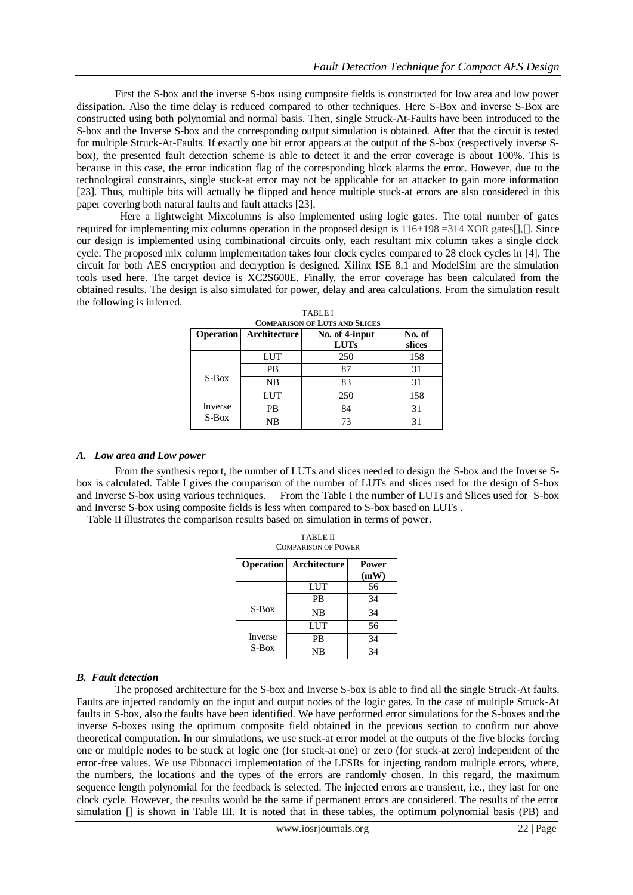First the S-box and the inverse S-box using composite fields is constructed for low area and low power dissipation. Also the time delay is reduced compared to other techniques. Here S-Box and inverse S-Box are constructed using both polynomial and normal basis. Then, single Struck-At-Faults have been introduced to the S-box and the Inverse S-box and the corresponding output simulation is obtained. After that the circuit is tested for multiple Struck-At-Faults. If exactly one bit error appears at the output of the S-box (respectively inverse Sbox), the presented fault detection scheme is able to detect it and the error coverage is about 100%. This is because in this case, the error indication flag of the corresponding block alarms the error. However, due to the technological constraints, single stuck-at error may not be applicable for an attacker to gain more information [23]. Thus, multiple bits will actually be flipped and hence multiple stuck-at errors are also considered in this paper covering both natural faults and fault attacks [23].

 Here a lightweight Mixcolumns is also implemented using logic gates. The total number of gates required for implementing mix columns operation in the proposed design is  $116+198 = 314$  XOR gates[],[]. Since our design is implemented using combinational circuits only, each resultant mix column takes a single clock cycle. The proposed mix column implementation takes four clock cycles compared to 28 clock cycles in [4]. The circuit for both AES encryption and decryption is designed. Xilinx ISE 8.1 and ModelSim are the simulation tools used here. The target device is XC2S600E. Finally, the error coverage has been calculated from the obtained results. The design is also simulated for power, delay and area calculations. From the simulation result the following is inferred.

| <b>Operation</b> | Architecture | No. of 4-input<br><b>LUTs</b> | No. of<br>slices |
|------------------|--------------|-------------------------------|------------------|
|                  | <b>LUT</b>   | 250                           | 158              |
|                  | <b>PB</b>    | 87                            | 31               |
| $S-Box$          | <b>NB</b>    | 83                            | 31               |
|                  | LUT          | 250                           | 158              |
| Inverse          | <b>PB</b>    | 84                            | 31               |
| $S-Box$          | NB           | 73                            | 31               |

| <b>TABLEI</b>                        |  |
|--------------------------------------|--|
| <b>COMPARISON OF LUTS AND SLICES</b> |  |

## *A. Low area and Low power*

From the synthesis report, the number of LUTs and slices needed to design the S-box and the Inverse Sbox is calculated. Table I gives the comparison of the number of LUTs and slices used for the design of S-box and Inverse S-box using various techniques. From the Table I the number of LUTs and Slices used for S-box and Inverse S-box using composite fields is less when compared to S-box based on LUTs .

TABLE II

Table II illustrates the comparison results based on simulation in terms of power.

| <b>COMPARISON OF POWER</b> |              |               |  |  |  |
|----------------------------|--------------|---------------|--|--|--|
| <b>Operation</b>           | Architecture | Power<br>(mW) |  |  |  |
|                            | <b>LUT</b>   | 56            |  |  |  |
|                            | PB           | 34            |  |  |  |
| $S-Box$                    | <b>NB</b>    | 34            |  |  |  |
|                            | LUT          | 56            |  |  |  |
| Inverse                    | <b>PR</b>    | 34            |  |  |  |
| S-Box                      | NB           | 34            |  |  |  |

## *B. Fault detection*

The proposed architecture for the S-box and Inverse S-box is able to find all the single Struck-At faults. Faults are injected randomly on the input and output nodes of the logic gates. In the case of multiple Struck-At faults in S-box, also the faults have been identified. We have performed error simulations for the S-boxes and the inverse S-boxes using the optimum composite field obtained in the previous section to confirm our above theoretical computation. In our simulations, we use stuck-at error model at the outputs of the five blocks forcing one or multiple nodes to be stuck at logic one (for stuck-at one) or zero (for stuck-at zero) independent of the error-free values. We use Fibonacci implementation of the LFSRs for injecting random multiple errors, where, the numbers, the locations and the types of the errors are randomly chosen. In this regard, the maximum sequence length polynomial for the feedback is selected. The injected errors are transient, i.e., they last for one clock cycle. However, the results would be the same if permanent errors are considered. The results of the error simulation [] is shown in Table III. It is noted that in these tables, the optimum polynomial basis (PB) and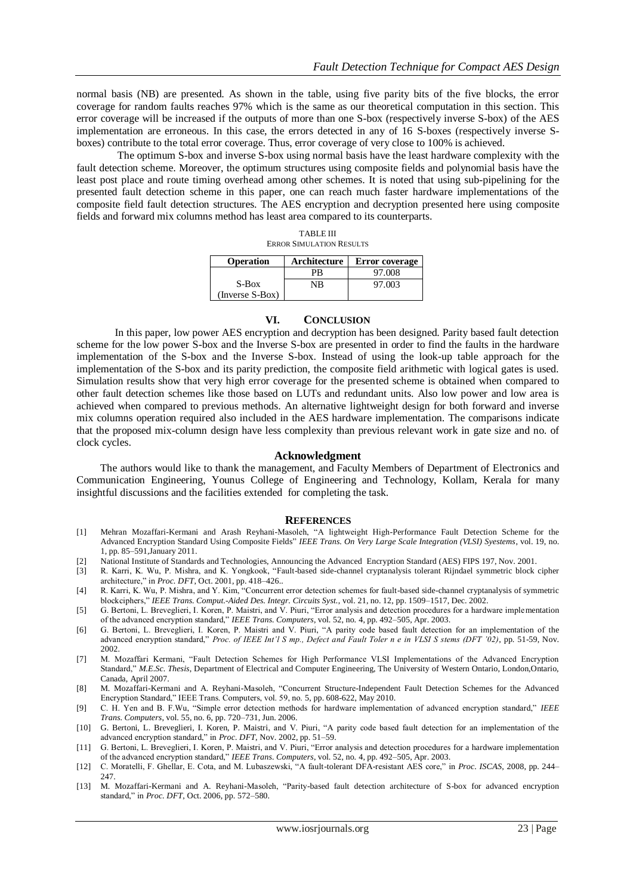normal basis (NB) are presented. As shown in the table, using five parity bits of the five blocks, the error coverage for random faults reaches 97% which is the same as our theoretical computation in this section. This error coverage will be increased if the outputs of more than one S-box (respectively inverse S-box) of the AES implementation are erroneous. In this case, the errors detected in any of 16 S-boxes (respectively inverse Sboxes) contribute to the total error coverage. Thus, error coverage of very close to 100% is achieved.

 The optimum S-box and inverse S-box using normal basis have the least hardware complexity with the fault detection scheme. Moreover, the optimum structures using composite fields and polynomial basis have the least post place and route timing overhead among other schemes. It is noted that using sub-pipelining for the presented fault detection scheme in this paper, one can reach much faster hardware implementations of the composite field fault detection structures. The AES encryption and decryption presented here using composite fields and forward mix columns method has least area compared to its counterparts.

| <b>ERROR SIMULATION RESULTS</b>                           |    |        |  |  |  |  |  |
|-----------------------------------------------------------|----|--------|--|--|--|--|--|
| <b>Operation</b><br>Architecture<br><b>Error</b> coverage |    |        |  |  |  |  |  |
|                                                           | PR | 97.008 |  |  |  |  |  |
| $S-Box$                                                   | NB | 97.003 |  |  |  |  |  |
| $(Inverse S-Box)$                                         |    |        |  |  |  |  |  |

TABLE III

#### **VI. CONCLUSION**

In this paper, low power AES encryption and decryption has been designed. Parity based fault detection scheme for the low power S-box and the Inverse S-box are presented in order to find the faults in the hardware implementation of the S-box and the Inverse S-box. Instead of using the look-up table approach for the implementation of the S-box and its parity prediction, the composite field arithmetic with logical gates is used. Simulation results show that very high error coverage for the presented scheme is obtained when compared to other fault detection schemes like those based on LUTs and redundant units. Also low power and low area is achieved when compared to previous methods. An alternative lightweight design for both forward and inverse mix columns operation required also included in the AES hardware implementation. The comparisons indicate that the proposed mix-column design have less complexity than previous relevant work in gate size and no. of clock cycles.

#### **Acknowledgment**

 The authors would like to thank the management, and Faculty Members of Department of Electronics and Communication Engineering, Younus College of Engineering and Technology, Kollam, Kerala for many insightful discussions and the facilities extended for completing the task.

#### **REFERENCES**

- [1] Mehran Mozaffari-Kermani and Arash Reyhani-Masoleh, "A lightweight High-Performance Fault Detection Scheme for the Advanced Encryption Standard Using Composite Fields" *IEEE Trans. On Very Large Scale Integration (VLSI) Syestems*, vol. 19, no. 1, pp. 85–591,January 2011.
- [2] National Institute of Standards and Technologies, Announcing the Advanced Encryption Standard (AES) FIPS 197, Nov. 2001.
- [3] R. Karri, K. Wu, P. Mishra, and K. Yongkook, "Fault-based side-channel cryptanalysis tolerant Rijndael symmetric block cipher architecture," in *Proc. DFT*, Oct. 2001, pp. 418–426..
- [4] R. Karri, K. Wu, P. Mishra, and Y. Kim, "Concurrent error detection schemes for fault-based side-channel cryptanalysis of symmetric blockciphers," *IEEE Trans. Comput.-Aided Des. Integr. Circuits Syst.*, vol. 21, no. 12, pp. 1509–1517, Dec. 2002.
- [5] G. Bertoni, L. Breveglieri, I. Koren, P. Maistri, and V. Piuri, "Error analysis and detection procedures for a hardware implementation of the advanced encryption standard," *IEEE Trans. Computers*, vol. 52, no. 4, pp. 492–505, Apr. 2003.
- [6] G. Bertoni, L. Breveglieri, I. Koren, P. Maistri and V. Piuri, "A parity code based fault detection for an implementation of the advanced encryption standard," *Proc. of IEEE Int'l S mp., Defect and Fault Toler n e in VLSI S stems (DFT '02)*, pp. 51-59, Nov. 2002.
- [7] M. Mozaffari Kermani, "Fault Detection Schemes for High Performance VLSI Implementations of the Advanced Encryption Standard," *M.E.Sc. Thesis*, Department of Electrical and Computer Engineering, The University of Western Ontario, London,Ontario, Canada, April 2007.
- [8] M. Mozaffari-Kermani and A. Reyhani-Masoleh, "Concurrent Structure-Independent Fault Detection Schemes for the Advanced Encryption Standard," IEEE Trans. Computers, vol. 59, no. 5, pp. 608-622, May 2010.
- [9] C. H. Yen and B. F.Wu, "Simple error detection methods for hardware implementation of advanced encryption standard," *IEEE Trans. Computers*, vol. 55, no. 6, pp. 720–731, Jun. 2006.
- [10] G. Bertoni, L. Breveglieri, I. Koren, P. Maistri, and V. Piuri, "A parity code based fault detection for an implementation of the advanced encryption standard," in *Proc. DFT*, Nov. 2002, pp. 51–59.
- [11] G. Bertoni, L. Breveglieri, I. Koren, P. Maistri, and V. Piuri, "Error analysis and detection procedures for a hardware implementation of the advanced encryption standard," *IEEE Trans. Computers*, vol. 52, no. 4, pp. 492–505, Apr. 2003.
- [12] C. Moratelli, F. Ghellar, E. Cota, and M. Lubaszewski, "A fault-tolerant DFA-resistant AES core," in *Proc. ISCAS*, 2008, pp. 244– 247.
- [13] M. Mozaffari-Kermani and A. Reyhani-Masoleh, "Parity-based fault detection architecture of S-box for advanced encryption standard," in *Proc. DFT*, Oct. 2006, pp. 572–580.